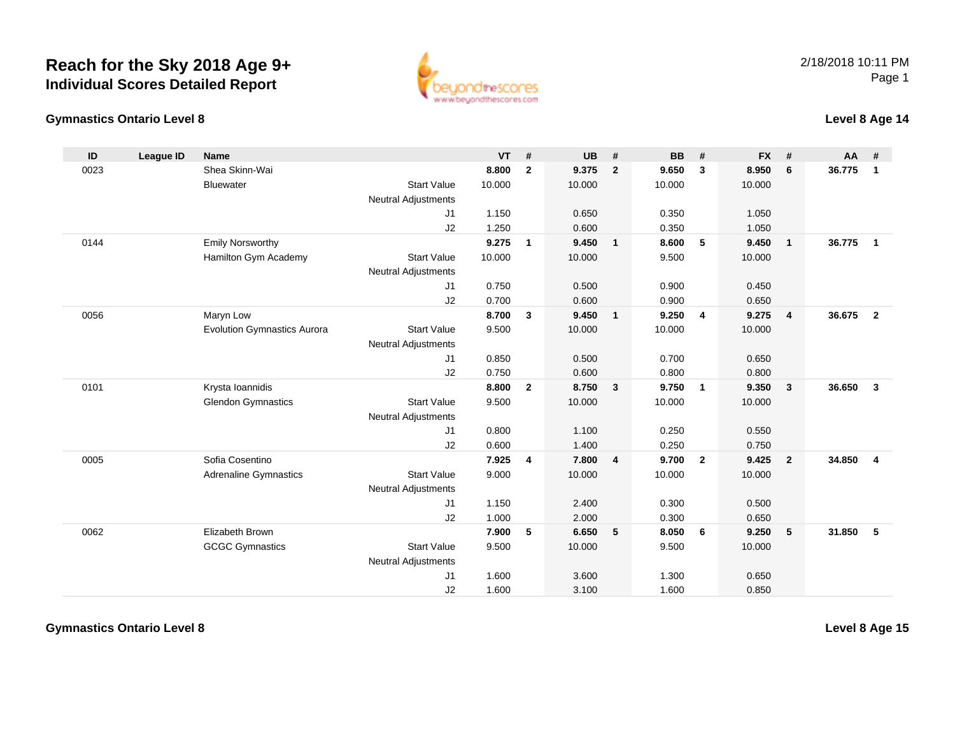#### **Gymnastics Ontario Level 8**

www.beyondthescores.com

## **Level 8 Age 14**

| ID   | <b>League ID</b> | <b>Name</b>                        |                            | <b>VT</b> | #              | <b>UB</b> | #              | <b>BB</b> | #              | <b>FX</b> | #                       | AA     | #              |
|------|------------------|------------------------------------|----------------------------|-----------|----------------|-----------|----------------|-----------|----------------|-----------|-------------------------|--------|----------------|
| 0023 |                  | Shea Skinn-Wai                     |                            | 8.800     | $\mathbf{2}$   | 9.375     | $\overline{2}$ | 9.650     | $\mathbf{3}$   | 8.950     | 6                       | 36.775 | $\mathbf{1}$   |
|      |                  | <b>Bluewater</b>                   | <b>Start Value</b>         | 10.000    |                | 10.000    |                | 10.000    |                | 10.000    |                         |        |                |
|      |                  |                                    | <b>Neutral Adjustments</b> |           |                |           |                |           |                |           |                         |        |                |
|      |                  |                                    | J1                         | 1.150     |                | 0.650     |                | 0.350     |                | 1.050     |                         |        |                |
|      |                  |                                    | J2                         | 1.250     |                | 0.600     |                | 0.350     |                | 1.050     |                         |        |                |
| 0144 |                  | <b>Emily Norsworthy</b>            |                            | 9.275     | $\mathbf{1}$   | 9.450     | $\mathbf{1}$   | 8.600     | 5              | 9.450     | $\overline{1}$          | 36.775 | $\mathbf{1}$   |
|      |                  | Hamilton Gym Academy               | <b>Start Value</b>         | 10.000    |                | 10.000    |                | 9.500     |                | 10.000    |                         |        |                |
|      |                  |                                    | Neutral Adjustments        |           |                |           |                |           |                |           |                         |        |                |
|      |                  |                                    | J1                         | 0.750     |                | 0.500     |                | 0.900     |                | 0.450     |                         |        |                |
|      |                  |                                    | J2                         | 0.700     |                | 0.600     |                | 0.900     |                | 0.650     |                         |        |                |
| 0056 |                  | Maryn Low                          |                            | 8.700     | 3              | 9.450     | $\mathbf{1}$   | 9.250     | $\overline{4}$ | 9.275     | $\overline{4}$          | 36.675 | $\overline{2}$ |
|      |                  | <b>Evolution Gymnastics Aurora</b> | <b>Start Value</b>         | 9.500     |                | 10.000    |                | 10.000    |                | 10.000    |                         |        |                |
|      |                  |                                    | <b>Neutral Adjustments</b> |           |                |           |                |           |                |           |                         |        |                |
|      |                  |                                    | J1                         | 0.850     |                | 0.500     |                | 0.700     |                | 0.650     |                         |        |                |
|      |                  |                                    | J2                         | 0.750     |                | 0.600     |                | 0.800     |                | 0.800     |                         |        |                |
| 0101 |                  | Krysta Ioannidis                   |                            | 8.800     | $\overline{2}$ | 8.750     | $\mathbf{3}$   | 9.750     | $\overline{1}$ | 9.350     | $\overline{\mathbf{3}}$ | 36.650 | $\mathbf{3}$   |
|      |                  | <b>Glendon Gymnastics</b>          | <b>Start Value</b>         | 9.500     |                | 10.000    |                | 10.000    |                | 10.000    |                         |        |                |
|      |                  |                                    | <b>Neutral Adjustments</b> |           |                |           |                |           |                |           |                         |        |                |
|      |                  |                                    | J1                         | 0.800     |                | 1.100     |                | 0.250     |                | 0.550     |                         |        |                |
|      |                  |                                    | J2                         | 0.600     |                | 1.400     |                | 0.250     |                | 0.750     |                         |        |                |
| 0005 |                  | Sofia Cosentino                    |                            | 7.925     | 4              | 7.800     | 4              | 9.700     | $\overline{2}$ | 9.425     | $\overline{2}$          | 34.850 | $\overline{4}$ |
|      |                  | <b>Adrenaline Gymnastics</b>       | <b>Start Value</b>         | 9.000     |                | 10.000    |                | 10.000    |                | 10.000    |                         |        |                |
|      |                  |                                    | <b>Neutral Adjustments</b> |           |                |           |                |           |                |           |                         |        |                |
|      |                  |                                    | J1                         | 1.150     |                | 2.400     |                | 0.300     |                | 0.500     |                         |        |                |
|      |                  |                                    | J2                         | 1.000     |                | 2.000     |                | 0.300     |                | 0.650     |                         |        |                |
| 0062 |                  | Elizabeth Brown                    |                            | 7.900     | 5              | 6.650     | 5              | 8.050     | 6              | 9.250     | 5                       | 31.850 | 5              |
|      |                  | <b>GCGC Gymnastics</b>             | <b>Start Value</b>         | 9.500     |                | 10.000    |                | 9.500     |                | 10.000    |                         |        |                |
|      |                  |                                    | <b>Neutral Adjustments</b> |           |                |           |                |           |                |           |                         |        |                |
|      |                  |                                    | J1                         | 1.600     |                | 3.600     |                | 1.300     |                | 0.650     |                         |        |                |
|      |                  |                                    | J2                         | 1.600     |                | 3.100     |                | 1.600     |                | 0.850     |                         |        |                |

**Gymnastics Ontario Level 8**

**Level 8 Age 15**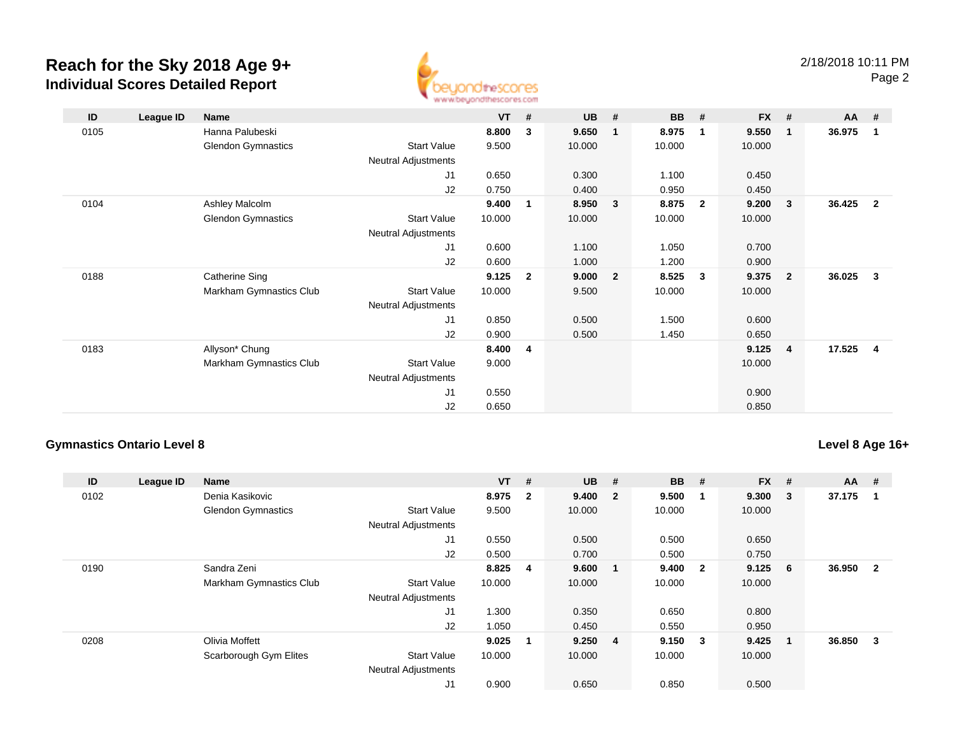

| ID   | League ID | Name                      |                     | <b>VT</b> | #            | <b>UB</b> | #            | <b>BB</b> | #                       | $FX$ # |                         | AA     | #              |
|------|-----------|---------------------------|---------------------|-----------|--------------|-----------|--------------|-----------|-------------------------|--------|-------------------------|--------|----------------|
| 0105 |           | Hanna Palubeski           |                     | 8.800     | 3            | 9.650     | $\mathbf{1}$ | 8.975     | $\overline{1}$          | 9.550  | $\overline{\mathbf{1}}$ | 36.975 | $\mathbf{1}$   |
|      |           | <b>Glendon Gymnastics</b> | <b>Start Value</b>  | 9.500     |              | 10.000    |              | 10.000    |                         | 10.000 |                         |        |                |
|      |           |                           | Neutral Adjustments |           |              |           |              |           |                         |        |                         |        |                |
|      |           |                           | J <sub>1</sub>      | 0.650     |              | 0.300     |              | 1.100     |                         | 0.450  |                         |        |                |
|      |           |                           | J2                  | 0.750     |              | 0.400     |              | 0.950     |                         | 0.450  |                         |        |                |
| 0104 |           | Ashley Malcolm            |                     | 9.400     | 1            | 8.950     | 3            | 8.875     | $\overline{2}$          | 9.200  | $\overline{\mathbf{3}}$ | 36.425 | $\overline{2}$ |
|      |           | <b>Glendon Gymnastics</b> | <b>Start Value</b>  | 10.000    |              | 10.000    |              | 10.000    |                         | 10.000 |                         |        |                |
|      |           |                           | Neutral Adjustments |           |              |           |              |           |                         |        |                         |        |                |
|      |           |                           | J1                  | 0.600     |              | 1.100     |              | 1.050     |                         | 0.700  |                         |        |                |
|      |           |                           | J2                  | 0.600     |              | 1.000     |              | 1.200     |                         | 0.900  |                         |        |                |
| 0188 |           | <b>Catherine Sing</b>     |                     | 9.125     | $\mathbf{2}$ | 9.000     | $\mathbf{2}$ | 8.525     | $\overline{\mathbf{3}}$ | 9.375  | $\overline{\mathbf{2}}$ | 36.025 | 3              |
|      |           | Markham Gymnastics Club   | <b>Start Value</b>  | 10.000    |              | 9.500     |              | 10.000    |                         | 10.000 |                         |        |                |
|      |           |                           | Neutral Adjustments |           |              |           |              |           |                         |        |                         |        |                |
|      |           |                           | J <sub>1</sub>      | 0.850     |              | 0.500     |              | 1.500     |                         | 0.600  |                         |        |                |
|      |           |                           | J2                  | 0.900     |              | 0.500     |              | 1.450     |                         | 0.650  |                         |        |                |
| 0183 |           | Allyson* Chung            |                     | 8.400     | 4            |           |              |           |                         | 9.125  | $\overline{4}$          | 17.525 | -4             |
|      |           | Markham Gymnastics Club   | <b>Start Value</b>  | 9.000     |              |           |              |           |                         | 10.000 |                         |        |                |
|      |           |                           | Neutral Adjustments |           |              |           |              |           |                         |        |                         |        |                |
|      |           |                           | J <sub>1</sub>      | 0.550     |              |           |              |           |                         | 0.900  |                         |        |                |
|      |           |                           | J2                  | 0.650     |              |           |              |           |                         | 0.850  |                         |        |                |

### **Gymnastics Ontario Level 8**

## **Level 8 Age 16+**

| ID   | League ID | Name                      |                            | $VT$ # |                | <b>UB</b> | #                       | <b>BB</b> | #                       | <b>FX</b> | #                       | $AA$ # |                |
|------|-----------|---------------------------|----------------------------|--------|----------------|-----------|-------------------------|-----------|-------------------------|-----------|-------------------------|--------|----------------|
| 0102 |           | Denia Kasikovic           |                            | 8.975  | $\overline{2}$ | 9.400     | $\overline{\mathbf{2}}$ | 9.500     |                         | 9.300     | 3                       | 37.175 |                |
|      |           | <b>Glendon Gymnastics</b> | <b>Start Value</b>         | 9.500  |                | 10.000    |                         | 10.000    |                         | 10.000    |                         |        |                |
|      |           |                           | <b>Neutral Adjustments</b> |        |                |           |                         |           |                         |           |                         |        |                |
|      |           |                           | J1                         | 0.550  |                | 0.500     |                         | 0.500     |                         | 0.650     |                         |        |                |
|      |           |                           | J2                         | 0.500  |                | 0.700     |                         | 0.500     |                         | 0.750     |                         |        |                |
| 0190 |           | Sandra Zeni               |                            | 8.825  | 4              | 9.600     |                         | 9.400     | $\overline{\mathbf{2}}$ | 9.125     | 6                       | 36.950 | $\overline{2}$ |
|      |           | Markham Gymnastics Club   | <b>Start Value</b>         | 10.000 |                | 10.000    |                         | 10.000    |                         | 10.000    |                         |        |                |
|      |           |                           | <b>Neutral Adjustments</b> |        |                |           |                         |           |                         |           |                         |        |                |
|      |           |                           | J1                         | 1.300  |                | 0.350     |                         | 0.650     |                         | 0.800     |                         |        |                |
|      |           |                           | J2                         | 1.050  |                | 0.450     |                         | 0.550     |                         | 0.950     |                         |        |                |
| 0208 |           | Olivia Moffett            |                            | 9.025  | $\mathbf 1$    | 9.250 4   |                         | 9.150     | $\overline{\mathbf{3}}$ | 9.425     | $\overline{\mathbf{1}}$ | 36.850 | 3              |
|      |           | Scarborough Gym Elites    | <b>Start Value</b>         | 10.000 |                | 10.000    |                         | 10.000    |                         | 10.000    |                         |        |                |
|      |           |                           | <b>Neutral Adjustments</b> |        |                |           |                         |           |                         |           |                         |        |                |
|      |           |                           | J <sub>1</sub>             | 0.900  |                | 0.650     |                         | 0.850     |                         | 0.500     |                         |        |                |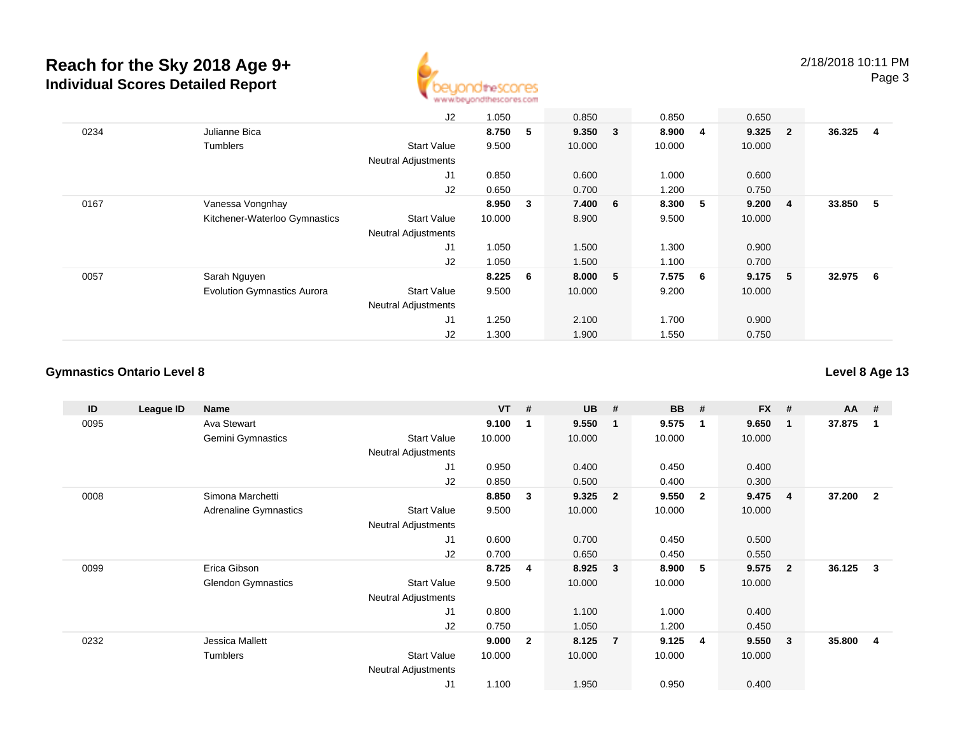

|      |                                    | J2                         | 1.050  |     | 0.850   | 0.850  |    | 0.650     |                         |          |                |
|------|------------------------------------|----------------------------|--------|-----|---------|--------|----|-----------|-------------------------|----------|----------------|
| 0234 | Julianne Bica                      |                            | 8.750  | 5   | 9.350 3 | 8.900  | -4 | $9.325$ 2 |                         | 36.325   | $\overline{4}$ |
|      | <b>Tumblers</b>                    | <b>Start Value</b>         | 9.500  |     | 10.000  | 10.000 |    | 10.000    |                         |          |                |
|      |                                    | <b>Neutral Adjustments</b> |        |     |         |        |    |           |                         |          |                |
|      |                                    | J1                         | 0.850  |     | 0.600   | 1.000  |    | 0.600     |                         |          |                |
|      |                                    | J2                         | 0.650  |     | 0.700   | 1.200  |    | 0.750     |                         |          |                |
| 0167 | Vanessa Vongnhay                   |                            | 8.950  | 3   | 7.400 6 | 8.300  | 5  | 9.200     | $\overline{\mathbf{4}}$ | 33.850 5 |                |
|      | Kitchener-Waterloo Gymnastics      | <b>Start Value</b>         | 10.000 |     | 8.900   | 9.500  |    | 10.000    |                         |          |                |
|      |                                    | <b>Neutral Adjustments</b> |        |     |         |        |    |           |                         |          |                |
|      |                                    | J <sub>1</sub>             | 1.050  |     | 1.500   | 1.300  |    | 0.900     |                         |          |                |
|      |                                    | J2                         | 1.050  |     | 1.500   | 1.100  |    | 0.700     |                         |          |                |
| 0057 | Sarah Nguyen                       |                            | 8.225  | - 6 | 8.000 5 | 7.575  | 6  | 9.175 5   |                         | 32.975 6 |                |
|      | <b>Evolution Gymnastics Aurora</b> | <b>Start Value</b>         | 9.500  |     | 10.000  | 9.200  |    | 10.000    |                         |          |                |
|      |                                    | <b>Neutral Adjustments</b> |        |     |         |        |    |           |                         |          |                |
|      |                                    | J1                         | 1.250  |     | 2.100   | 1.700  |    | 0.900     |                         |          |                |
|      |                                    | J2                         | 1.300  |     | 1.900   | 1.550  |    | 0.750     |                         |          |                |

#### **Gymnastics Ontario Level 8**

**Level 8 Age 13**

| ID   | League ID | <b>Name</b>               |                            | <b>VT</b> | #            | <b>UB</b> | #                       | <b>BB</b> | #              | <b>FX</b> | #              | <b>AA</b> | - #            |
|------|-----------|---------------------------|----------------------------|-----------|--------------|-----------|-------------------------|-----------|----------------|-----------|----------------|-----------|----------------|
| 0095 |           | Ava Stewart               |                            | 9.100     | 1            | 9.550     | - 1                     | 9.575     | $\mathbf 1$    | 9.650     | 1              | 37.875    | -1             |
|      |           | <b>Gemini Gymnastics</b>  | <b>Start Value</b>         | 10.000    |              | 10.000    |                         | 10.000    |                | 10.000    |                |           |                |
|      |           |                           | Neutral Adjustments        |           |              |           |                         |           |                |           |                |           |                |
|      |           |                           | J1                         | 0.950     |              | 0.400     |                         | 0.450     |                | 0.400     |                |           |                |
|      |           |                           | J <sub>2</sub>             | 0.850     |              | 0.500     |                         | 0.400     |                | 0.300     |                |           |                |
| 0008 |           | Simona Marchetti          |                            | 8.850     | 3            | 9.325     | $\overline{\mathbf{2}}$ | 9.550     | $\overline{2}$ | 9.475     | 4              | 37.200    | $\overline{2}$ |
|      |           | Adrenaline Gymnastics     | <b>Start Value</b>         | 9.500     |              | 10.000    |                         | 10.000    |                | 10.000    |                |           |                |
|      |           |                           | Neutral Adjustments        |           |              |           |                         |           |                |           |                |           |                |
|      |           |                           | J1                         | 0.600     |              | 0.700     |                         | 0.450     |                | 0.500     |                |           |                |
|      |           |                           | J <sub>2</sub>             | 0.700     |              | 0.650     |                         | 0.450     |                | 0.550     |                |           |                |
| 0099 |           | Erica Gibson              |                            | 8.725     | 4            | 8.925     | $\overline{\mathbf{3}}$ | 8.900     | 5              | 9.575     | $\overline{2}$ | 36.125    | 3              |
|      |           | <b>Glendon Gymnastics</b> | <b>Start Value</b>         | 9.500     |              | 10.000    |                         | 10.000    |                | 10.000    |                |           |                |
|      |           |                           | <b>Neutral Adjustments</b> |           |              |           |                         |           |                |           |                |           |                |
|      |           |                           | J <sub>1</sub>             | 0.800     |              | 1.100     |                         | 1.000     |                | 0.400     |                |           |                |
|      |           |                           | J <sub>2</sub>             | 0.750     |              | 1.050     |                         | 1.200     |                | 0.450     |                |           |                |
| 0232 |           | Jessica Mallett           |                            | 9.000     | $\mathbf{2}$ | 8.125     | $\overline{7}$          | 9.125     | $\overline{4}$ | 9.550     | 3              | 35.800    | 4              |
|      |           | Tumblers                  | <b>Start Value</b>         | 10.000    |              | 10.000    |                         | 10.000    |                | 10.000    |                |           |                |
|      |           |                           | Neutral Adjustments        |           |              |           |                         |           |                |           |                |           |                |
|      |           |                           | J <sub>1</sub>             | 1.100     |              | 1.950     |                         | 0.950     |                | 0.400     |                |           |                |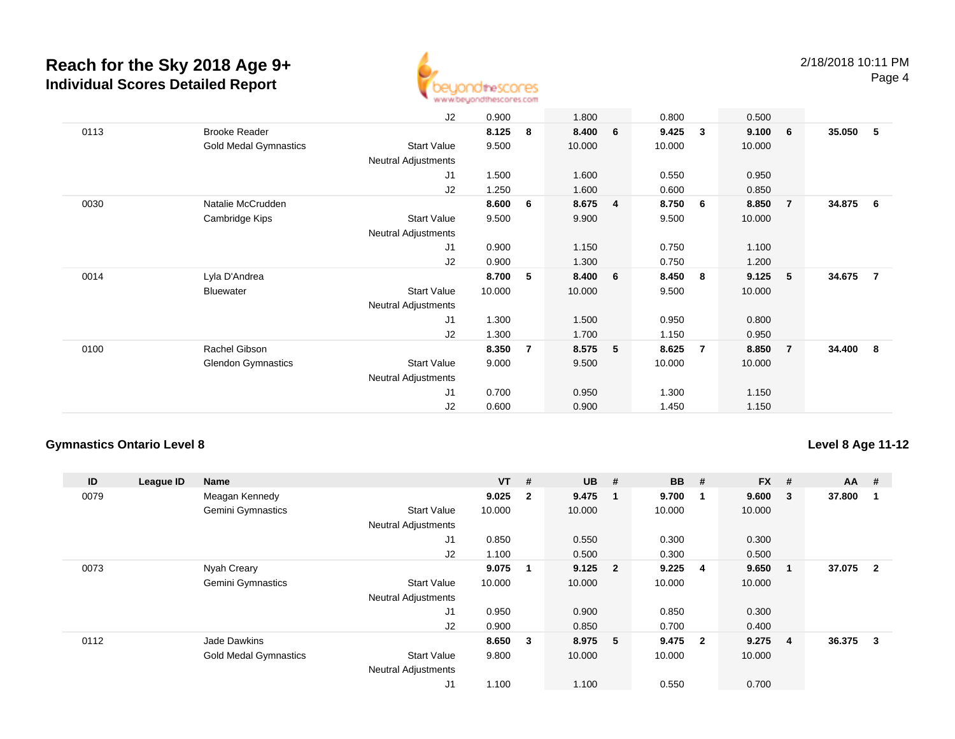

| 35.050<br>- 5            |
|--------------------------|
|                          |
|                          |
|                          |
|                          |
|                          |
|                          |
| 34.875<br>- 6            |
|                          |
|                          |
|                          |
|                          |
| 34.675<br>$\overline{7}$ |
|                          |
|                          |
|                          |
|                          |
| 34.400<br>- 8            |
|                          |
|                          |
|                          |
|                          |
|                          |

### **Gymnastics Ontario Level 8**

#### **Level 8 Age 11-12**

| ID   | League ID | <b>Name</b>                  |                            | $VT$ # |                         | <b>UB</b> | #                       | <b>BB</b> | #                       | <b>FX</b> | # | $AA$ # |                |
|------|-----------|------------------------------|----------------------------|--------|-------------------------|-----------|-------------------------|-----------|-------------------------|-----------|---|--------|----------------|
| 0079 |           | Meagan Kennedy               |                            | 9.025  | $\overline{2}$          | 9.475     | $\blacksquare$          | 9.700     | -1                      | 9.600     | 3 | 37.800 |                |
|      |           | Gemini Gymnastics            | <b>Start Value</b>         | 10.000 |                         | 10.000    |                         | 10.000    |                         | 10.000    |   |        |                |
|      |           |                              | <b>Neutral Adjustments</b> |        |                         |           |                         |           |                         |           |   |        |                |
|      |           |                              | J1                         | 0.850  |                         | 0.550     |                         | 0.300     |                         | 0.300     |   |        |                |
|      |           |                              | J2                         | 1.100  |                         | 0.500     |                         | 0.300     |                         | 0.500     |   |        |                |
| 0073 |           | Nyah Creary                  |                            | 9.075  |                         | 9.125     | $\overline{\mathbf{2}}$ | 9.225     | -4                      | 9.650     |   | 37.075 | $\overline{2}$ |
|      |           | Gemini Gymnastics            | <b>Start Value</b>         | 10.000 |                         | 10.000    |                         | 10.000    |                         | 10.000    |   |        |                |
|      |           |                              | <b>Neutral Adjustments</b> |        |                         |           |                         |           |                         |           |   |        |                |
|      |           |                              | J <sub>1</sub>             | 0.950  |                         | 0.900     |                         | 0.850     |                         | 0.300     |   |        |                |
|      |           |                              | J2                         | 0.900  |                         | 0.850     |                         | 0.700     |                         | 0.400     |   |        |                |
| 0112 |           | Jade Dawkins                 |                            | 8.650  | $\overline{\mathbf{3}}$ | 8.975 5   |                         | 9.475     | $\overline{\mathbf{2}}$ | 9.275     | 4 | 36.375 | 3              |
|      |           | <b>Gold Medal Gymnastics</b> | <b>Start Value</b>         | 9.800  |                         | 10.000    |                         | 10.000    |                         | 10.000    |   |        |                |
|      |           |                              | <b>Neutral Adjustments</b> |        |                         |           |                         |           |                         |           |   |        |                |
|      |           |                              | J1                         | 1.100  |                         | 1.100     |                         | 0.550     |                         | 0.700     |   |        |                |